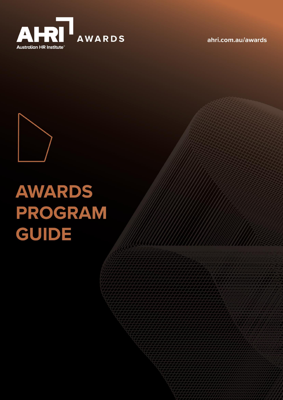

ahri.com.au/awards



# **AWARDS** PROGRAM **GUIDE**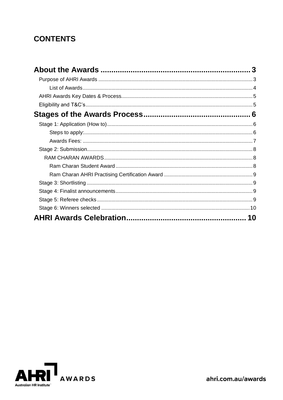## **CONTENTS**

| 10 |
|----|

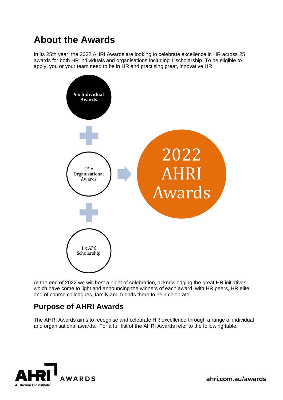# <span id="page-2-0"></span>**About the Awards**

In its 25th year, the 2022 AHRI Awards are looking to celebrate excellence in HR across 25 awards for both HR individuals and organisations including 1 scholarship. To be eligible to apply, you or your team need to be in HR and practising great, innovative HR.



At the end of 2022 we will host a night of celebration, acknowledging the great HR initiatives which have come to light and announcing the winners of each award, with HR peers, HR elite and of course colleagues, family and friends there to help celebrate.

### <span id="page-2-1"></span>**Purpose of AHRI Awards**

The AHRI Awards aims to recognise and celebrate HR excellence through a range of individual and organisational awards. For a full list of the AHRI Awards refer to the following table.



ahri.com.au/awards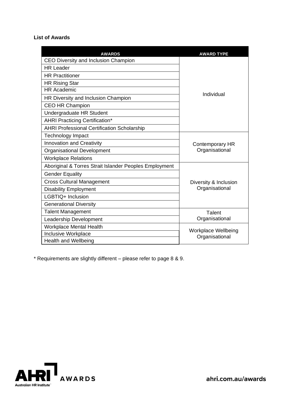#### <span id="page-3-0"></span>**List of Awards**

| <b>AWARDS</b>                                          | <b>AWARD TYPE</b>                        |  |
|--------------------------------------------------------|------------------------------------------|--|
| CEO Diversity and Inclusion Champion                   |                                          |  |
| <b>HR Leader</b>                                       | Individual                               |  |
| <b>HR Practitioner</b>                                 |                                          |  |
| <b>HR Rising Star</b>                                  |                                          |  |
| <b>HR Academic</b>                                     |                                          |  |
| HR Diversity and Inclusion Champion                    |                                          |  |
| <b>CEO HR Champion</b>                                 |                                          |  |
| Undergraduate HR Student                               |                                          |  |
| <b>AHRI Practicing Certification*</b>                  |                                          |  |
| <b>AHRI Professional Certification Scholarship</b>     |                                          |  |
| <b>Technology Impact</b>                               | <b>Contemporary HR</b><br>Organisational |  |
| Innovation and Creativity                              |                                          |  |
| Organisational Development                             |                                          |  |
| <b>Workplace Relations</b>                             |                                          |  |
| Aboriginal & Torres Strait Islander Peoples Employment |                                          |  |
| <b>Gender Equality</b>                                 |                                          |  |
| <b>Cross Cultural Management</b>                       | Diversity & Inclusion<br>Organisational  |  |
| <b>Disability Employment</b>                           |                                          |  |
| LGBTIQ+ Inclusion                                      |                                          |  |
| <b>Generational Diversity</b>                          |                                          |  |
| <b>Talent Management</b>                               | Talent                                   |  |
| Leadership Development                                 | Organisational                           |  |
| <b>Workplace Mental Health</b>                         |                                          |  |
| Inclusive Workplace                                    | Workplace Wellbeing<br>Organisational    |  |
| <b>Health and Wellbeing</b>                            |                                          |  |

\* Requirements are slightly different – please refer to page 8 & 9.

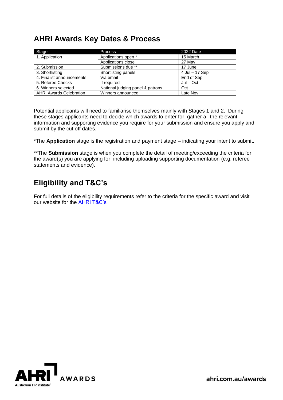## <span id="page-4-0"></span>**AHRI Awards Key Dates & Process**

| Stage                          | <b>Process</b>                   | 2022 Date      |
|--------------------------------|----------------------------------|----------------|
| 1. Application                 | Applications open *              | 15 March       |
|                                | Applications close               | 27 May         |
| 2. Submission                  | Submissions due **               | 17 June        |
| 3. Shortlisting                | Shortlisting panels              | 4 Jul - 17 Sep |
| 4. Finalist announcements      | Via email                        | End of Sep     |
| 5. Referee Checks              | If required                      | $Jul - Oct$    |
| 6. Winners selected            | National judging panel & patrons | Oct            |
| <b>AHRI Awards Celebration</b> | Winners announced                | Late Nov       |

Potential applicants will need to familiarise themselves mainly with Stages 1 and 2. During these stages applicants need to decide which awards to enter for, gather all the relevant information and supporting evidence you require for your submission and ensure you apply and submit by the cut off dates.

\*The **Application** stage is the registration and payment stage – indicating your intent to submit.

\*\*The **Submission** stage is when you complete the detail of meeting/exceeding the criteria for the award(s) you are applying for, including uploading supporting documentation (e.g. referee statements and evidence).

## <span id="page-4-1"></span>**Eligibility and T&C's**

For full details of the eligibility requirements refer to the criteria for the specific award and visit our website for the [AHRI T&C's](https://www.ahri.com.au/wp-content/uploads/conditions-of-entry_ahri-awards_2022.pdf)

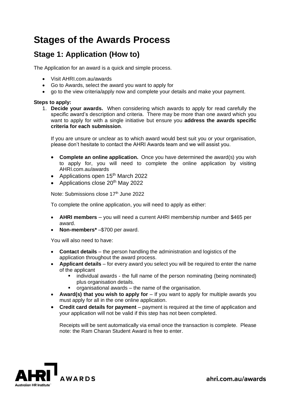# <span id="page-5-0"></span>**Stages of the Awards Process**

#### <span id="page-5-1"></span>**Stage 1: Application (How to)**

The Application for an award is a quick and simple process.

- Visit AHRI.com.au/awards
- Go to Awards, select the award you want to apply for
- go to the view criteria/apply now and complete your details and make your payment.

#### <span id="page-5-2"></span>**Steps to apply:**

1. **Decide your awards.** When considering which awards to apply for read carefully the specific award's description and criteria. There may be more than one award which you want to apply for with a single initiative but ensure you **address the awards specific criteria for each submission**.

If you are unsure or unclear as to which award would best suit you or your organisation, please don't hesitate to contact the AHRI Awards team and we will assist you.

- **Complete an online application.** Once you have determined the award(s) you wish to apply for, you will need to complete the online application by visiting AHRI.com.au/awards
- Applications open 15<sup>th</sup> March 2022
- Applications close 20<sup>th</sup> May 2022

Note: Submissions close 17<sup>th</sup> June 2022

To complete the online application, you will need to apply as either:

- **AHRI members** you will need a current AHRI membership number and \$465 per award.
- **Non-members\*** –\$700 per award.

You will also need to have:

- **Contact details**  the person handling the administration and logistics of the application throughout the award process.
- **Applicant details** for every award you select you will be required to enter the name of the applicant
	- individual awards the full name of the person nominating (being nominated) plus organisation details.
	- organisational awards the name of the organisation.
- **Award(s) that you wish to apply for** If you want to apply for multiple awards you must apply for all in the one online application.
- **Credit card details for payment** payment is required at the time of application and your application will not be valid if this step has not been completed.

Receipts will be sent automatically via email once the transaction is complete. Please note: the Ram Charan Student Award is free to enter.



ahri.com.au/awards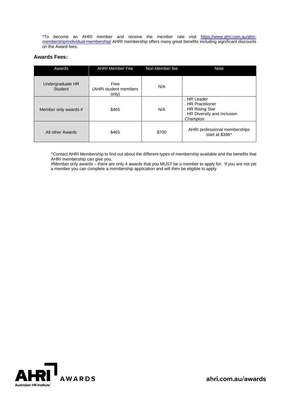\*To become an AHRI member and receive the member rate visit [https://www.ahri.com.au/ahri](https://www.ahri.com.au/ahri-membership/individual-membership/)[membership/individual-membership/](https://www.ahri.com.au/ahri-membership/individual-membership/) AHRI membership offers many great benefits including significant discounts on the Award fees.

#### <span id="page-6-0"></span>**Awards Fees:**

| Awards                      | <b>AHRI Member Fee</b>                 | Non-Member fee | <b>Note</b>                                                                                      |
|-----------------------------|----------------------------------------|----------------|--------------------------------------------------------------------------------------------------|
| Undergraduate HR<br>Student | Free<br>(AHRI student members<br>only) | N/A            |                                                                                                  |
| Member only awards #        | \$465                                  | N/A            | . HR Leader<br>. HR Practitioner<br>. HR Rising Star<br>. HR Diversity and Inclusion<br>Champion |
| All other Awards            | \$465                                  | \$700          | AHRI professional memberships<br>start at \$396^                                                 |

^Contact AHRI Membership to find out about the different types of membership available and the benefits that AHRI membership can give you.

#Member only awards – there are only 4 awards that you MUST be a member to apply for. If you are not yet a member you can complete a membership application and will then be eligible to apply

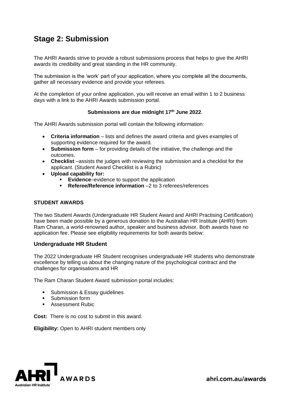## <span id="page-7-0"></span>**Stage 2: Submission**

The AHRI Awards strive to provide a robust submissions process that helps to give the AHRI awards its credibility and great standing in the HR community.

The submission is the 'work' part of your application, where you complete all the documents, gather all necessary evidence and provide your referees.

At the completion of your online application, you will receive an email within 1 to 2 business days with a link to the AHRI Awards submission portal.

#### **Submissions are due midnight 17 th June 2022**.

The AHRI Awards submission portal will contain the following information:

- **Criteria information** lists and defines the award criteria and gives examples of supporting evidence required for the award.
- **Submission form** for providing details of the initiative, the challenge and the outcomes.
- **Checklist** –assists the judges with reviewing the submission and a checklist for the applicant. (Student Award Checklist is a Rubric)
- **Upload capability for:**
	- **Evidence–evidence to support the application**
	- **Referee/Reference information** –2 to 3 referees/references

#### **STUDENT AWARDS**

The two Student Awards (Undergraduate HR Student Award and AHRI Practising Certification) have been made possible by a generous donation to the Australian HR Institute (AHRI) from Ram Charan, a world-renowned author, speaker and business advisor. Both awards have no application fee. Please see eligibility requirements for both awards below:

#### <span id="page-7-1"></span>**Undergraduate HR Student**

The 2022 Undergraduate HR Student recognises undergraduate HR students who demonstrate excellence by telling us about the changing nature of the psychological contract and the challenges for organisations and HR

The Ram Charan Student Award submission portal includes:

- Submission & Essay guidelines
- Submission form
- Assessment Rubic

**Cost:** There is no cost to submit in this award.

**Eligibility:** Open to AHRI student members only

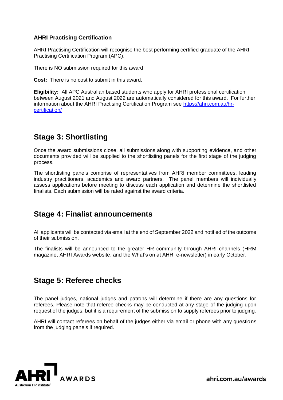#### <span id="page-8-0"></span>**AHRI Practising Certification**

AHRI Practising Certification will recognise the best performing certified graduate of the AHRI Practising Certification Program (APC).

There is NO submission required for this award.

**Cost:** There is no cost to submit in this award.

**Eligibility:** All APC Australian based students who apply for AHRI professional certification between August 2021 and August 2022 are automatically considered for this award. For further information about the AHRI Practising Certification Program see https://ahri.com.au/hrcertification/

## <span id="page-8-1"></span>**Stage 3: Shortlisting**

Once the award submissions close, all submissions along with supporting evidence, and other documents provided will be supplied to the shortlisting panels for the first stage of the judging process.

The shortlisting panels comprise of representatives from AHRI member committees, leading industry practitioners, academics and award partners. The panel members will individually assess applications before meeting to discuss each application and determine the shortlisted finalists. Each submission will be rated against the award criteria.

#### <span id="page-8-2"></span>**Stage 4: Finalist announcements**

All applicants will be contacted via email at the end of September 2022 and notified of the outcome of their submission.

The finalists will be announced to the greater HR community through AHRI channels [\(HRM](https://www.ahri.com.au/resources/hrmonthly) [magazine,](https://www.ahri.com.au/resources/hrmonthly) [AHRI Awards website,](http://www.ahri.com.au/awards) and the [What's on at AHRI](https://www.ahri.com.au/resources/keeping-up-to-date-with-ahri) e-newsletter) in early October.

#### <span id="page-8-3"></span>**Stage 5: Referee checks**

The panel judges, national judges and patrons will determine if there are any questions for referees. Please note that referee checks may be conducted at any stage of the judging upon request of the judges, but it is a requirement of the submission to supply referees prior to judging.

AHRI will contact referees on behalf of the judges either via email or phone with any questions from the judging panels if required.



ahri.com.au/awards